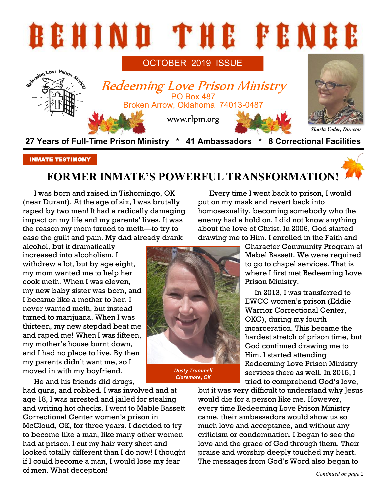

#### INMATE TESTIMONY

# **FORMER INMATE'S POWERFUL TRANSFORMATION!**

I was born and raised in Tishomingo, OK (near Durant). At the age of six, I was brutally raped by two men! It had a radically damaging impact on my life and my parents' lives. It was the reason my mom turned to meth—to try to ease the guilt and pain. My dad already drank

alcohol, but it dramatically increased into alcoholism. I withdrew a lot, but by age eight, my mom wanted me to help her cook meth. When I was eleven, my new baby sister was born, and I became like a mother to her. I never wanted meth, but instead turned to marijuana. When I was thirteen, my new stepdad beat me and raped me! When I was fifteen, my mother's house burnt down, and I had no place to live. By then my parents didn't want me, so I moved in with my boyfriend.

He and his friends did drugs,

had guns, and robbed. I was involved and at age 18, I was arrested and jailed for stealing and writing hot checks. I went to Mable Bassett Correctional Center women's prison in McCloud, OK, for three years. I decided to try to become like a man, like many other women had at prison. I cut my hair very short and looked totally different than I do now! I thought if I could become a man, I would lose my fear of men. What deception! *Continued on page 2*

Every time I went back to prison, I would put on my mask and revert back into homosexuality, becoming somebody who the enemy had a hold on. I did not know anything about the love of Christ. In 2006, God started drawing me to Him. I enrolled in the Faith and

> Character Community Program at Mabel Bassett. We were required to go to chapel services. That is where I first met Redeeming Love Prison Ministry.

> In 2013, I was transferred to EWCC women's prison (Eddie Warrior Correctional Center, OKC), during my fourth incarceration. This became the hardest stretch of prison time, but God continued drawing me to Him. I started attending Redeeming Love Prison Ministry services there as well. In 2015, I tried to comprehend God's love,

but it was very difficult to understand why Jesus would die for a person like me. However, every time Redeeming Love Prison Ministry came, their ambassadors would show us so much love and acceptance, and without any criticism or condemnation. I began to see the love and the grace of God through them. Their praise and worship deeply touched my heart. The messages from God's Word also began to



*Claremore, OK*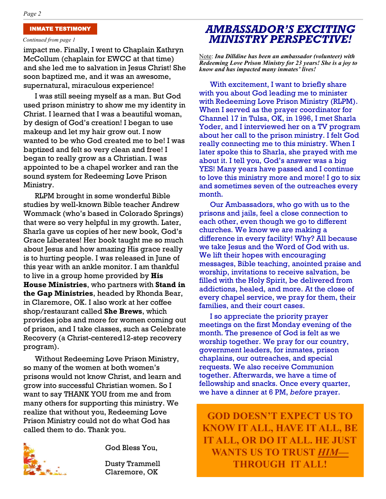#### *Continued from page 1*

impact me. Finally, I went to Chaplain Kathryn McCollum (chaplain for EWCC at that time) and she led me to salvation in Jesus Christ! She soon baptized me, and it was an awesome, supernatural, miraculous experience!

I was still seeing myself as a man. But God used prison ministry to show me my identity in Christ. I learned that I was a beautiful woman, by design of God's creation! I began to use makeup and let my hair grow out. I now wanted to be who God created me to be! I was baptized and felt so very clean and free! I began to really grow as a Christian. I was appointed to be a chapel worker and ran the sound system for Redeeming Love Prison Ministry.

RLPM brought in some wonderful Bible studies by well-known Bible teacher Andrew Wommack (who's based in Colorado Springs) that were so very helpful in my growth. Later, Sharla gave us copies of her new book, God's Grace Liberates! Her book taught me so much about Jesus and how amazing His grace really is to hurting people. I was released in June of this year with an ankle monitor. I am thankful to live in a group home provided by **His House Ministries**, who partners with **Stand in the Gap Ministries**, headed by Rhonda Bear, in Claremore, OK. I also work at her coffee shop/restaurant called **She Brews**, which provides jobs and more for women coming out of prison, and I take classes, such as Celebrate Recovery (a Christ-centered12-step recovery program).

Without Redeeming Love Prison Ministry, so many of the women at both women's prisons would not know Christ, and learn and grow into successful Christian women. So I want to say THANK YOU from me and from many others for supporting this ministry. We realize that without you, Redeeming Love Prison Ministry could not do what God has called them to do. Thank you.



God Bless You,

Dusty Trammell Claremore, OK

## INMATE TESTIMONY *AMBASSADOR'S EXCITING MINISTRY PERSPECTIVE!*

Note: *Ina Dilldine has been an ambassador (volunteer) with Redeeming Love Prison Ministry for 23 years! She is a joy to know and has impacted many inmates' lives!*

With excitement, I want to briefly share with you about God leading me to minister with Redeeming Love Prison Ministry (RLPM). When I served as the prayer coordinator for Channel 17 in Tulsa, OK, in 1996, I met Sharla Yoder, and I interviewed her on a TV program about her call to the prison ministry. I felt God really connecting me to this ministry. When I later spoke this to Sharla, she prayed with me about it. I tell you, God's answer was a big YES! Many years have passed and I continue to love this ministry more and more! I go to six and sometimes seven of the outreaches every month.

Our Ambassadors, who go with us to the prisons and jails, feel a close connection to each other, even though we go to different churches. We know we are making a difference in every facility! Why? All because we take Jesus and the Word of God with us. We lift their hopes with encouraging messages, Bible teaching, anointed praise and worship, invitations to receive salvation, be filled with the Holy Spirit, be delivered from addictions, healed, and more. At the close of every chapel service, we pray for them, their families, and their court cases.

I so appreciate the priority prayer meetings on the first Monday evening of the month. The presence of God is felt as we worship together. We pray for our country, government leaders, for inmates, prison chaplains, our outreaches, and special requests. We also receive Communion together. Afterwards, we have a time of fellowship and snacks. Once every quarter, we have a dinner at 6 PM, *before* prayer.

**GOD DOESN'T EXPECT US TO KNOW IT ALL, HAVE IT ALL, BE IT ALL, OR DO IT ALL. HE JUST WANTS US TO TRUST** *HIM—* **THROUGH IT ALL!**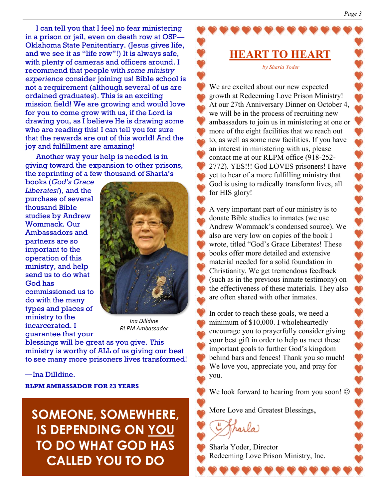I can tell you that I feel no fear ministering in a prison or jail, even on death row at OSP— Oklahoma State Penitentiary. (Jesus gives life, and we see it as "life row"!) It is always safe, with plenty of cameras and officers around. I recommend that people with *some ministry experience* consider joining us! Bible school is not a requirement (although several of us are ordained graduates). This is an exciting mission field! We are growing and would love for you to come grow with us, if the Lord is drawing you, as I believe He is drawing some who are reading this! I can tell you for sure that the rewards are out of this world! And the joy and fulfillment are amazing!

Another way your help is needed is in giving toward the expansion to other prisons, the reprinting of a few thousand of Sharla's

books (*God's Grace Liberates!*), and the purchase of several thousand Bible studies by Andrew Wommack. Our Ambassadors and partners are so important to the operation of this ministry, and help send us to do what God has commissioned us to do with the many types and places of ministry to the incarcerated. I guarantee that your



*Ina Dilldine RLPM Ambassador*

blessings will be great as you give. This ministry is worthy of ALL of us giving our best to see many more prisoners lives transformed!

#### ―Ina Dilldine.

**RLPM AMBASSADOR FOR 23 YEARS**

**SOMEONE, SOMEWHERE, IS DEPENDING ON YOU TO DO WHAT GOD HAS CALLED YOU TO DO**

**HEART TO HEART** *by Sharla Yoder*

We are excited about our new expected growth at Redeeming Love Prison Ministry! At our 27th Anniversary Dinner on October 4, we will be in the process of recruiting new ambassadors to join us in ministering at one or more of the eight facilities that we reach out to, as well as some new facilities. If you have an interest in ministering with us, please contact me at our RLPM office (918-252- 2772). YES!!! God LOVES prisoners! I have yet to hear of a more fulfilling ministry that God is using to radically transform lives, all for HIS glory!

A very important part of our ministry is to donate Bible studies to inmates (we use Andrew Wommack's condensed source). We also are very low on copies of the book I wrote, titled "God's Grace Liberates! These books offer more detailed and extensive material needed for a solid foundation in Christianity. We get tremendous feedback (such as in the previous inmate testimony) on the effectiveness of these materials. They also are often shared with other inmates.

In order to reach these goals, we need a minimum of \$10,000. I wholeheartedly encourage you to prayerfully consider giving your best gift in order to help us meet these important goals to further God's kingdom behind bars and fences! Thank you so much! We love you, appreciate you, and pray for you.

We look forward to hearing from you soon!  $\odot$ 

More Love and Greatest Blessings,

Sharla Yoder, Director Redeeming Love Prison Ministry, Inc.